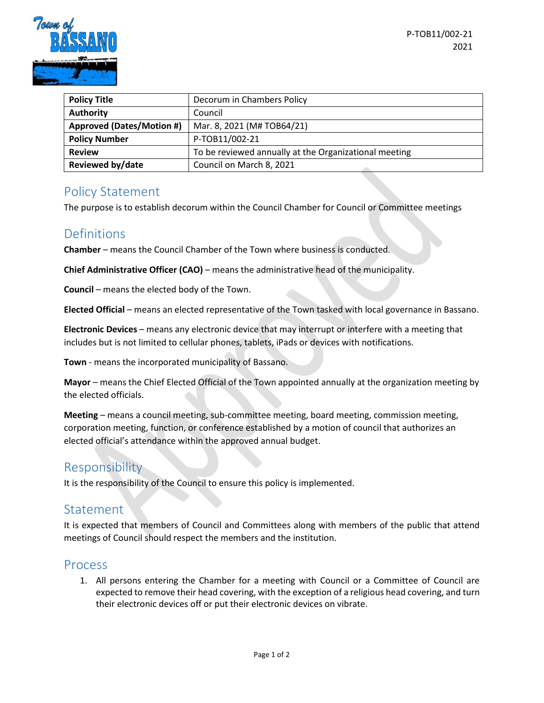

| <b>Policy Title</b>              | Decorum in Chambers Policy                            |
|----------------------------------|-------------------------------------------------------|
| <b>Authority</b>                 | Council                                               |
| <b>Approved (Dates/Motion #)</b> | Mar. 8, 2021 (M# TOB64/21)                            |
| <b>Policy Number</b>             | P-TOB11/002-21                                        |
| <b>Review</b>                    | To be reviewed annually at the Organizational meeting |
| <b>Reviewed by/date</b>          | Council on March 8, 2021                              |

## Policy Statement

The purpose is to establish decorum within the Council Chamber for Council or Committee meetings

# Definitions

**Chamber** – means the Council Chamber of the Town where business is conducted.

**Chief Administrative Officer (CAO)** – means the administrative head of the municipality.

**Council** – means the elected body of the Town.

**Elected Official** – means an elected representative of the Town tasked with local governance in Bassano.

**Electronic Devices** – means any electronic device that may interrupt or interfere with a meeting that includes but is not limited to cellular phones, tablets, iPads or devices with notifications.

**Town** - means the incorporated municipality of Bassano.

**Mayor** – means the Chief Elected Official of the Town appointed annually at the organization meeting by the elected officials.

**Meeting** – means a council meeting, sub-committee meeting, board meeting, commission meeting, corporation meeting, function, or conference established by a motion of council that authorizes an elected official's attendance within the approved annual budget.

### Responsibility

It is the responsibility of the Council to ensure this policy is implemented.

### Statement

It is expected that members of Council and Committees along with members of the public that attend meetings of Council should respect the members and the institution.

#### Process

1. All persons entering the Chamber for a meeting with Council or a Committee of Council are expected to remove their head covering, with the exception of a religious head covering, and turn their electronic devices off or put their electronic devices on vibrate.